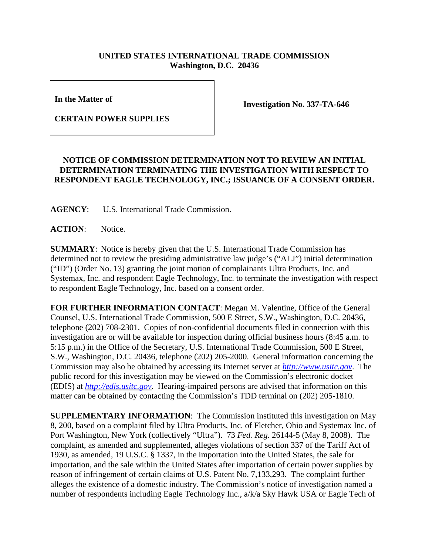## **UNITED STATES INTERNATIONAL TRADE COMMISSION Washington, D.C. 20436**

**In the Matter of** 

**Investigation No. 337-TA-646**

**CERTAIN POWER SUPPLIES**

## **NOTICE OF COMMISSION DETERMINATION NOT TO REVIEW AN INITIAL DETERMINATION TERMINATING THE INVESTIGATION WITH RESPECT TO RESPONDENT EAGLE TECHNOLOGY, INC.; ISSUANCE OF A CONSENT ORDER.**

**AGENCY**: U.S. International Trade Commission.

**ACTION**: Notice.

**SUMMARY**: Notice is hereby given that the U.S. International Trade Commission has determined not to review the presiding administrative law judge's ("ALJ") initial determination ("ID") (Order No. 13) granting the joint motion of complainants Ultra Products, Inc. and Systemax, Inc. and respondent Eagle Technology, Inc. to terminate the investigation with respect to respondent Eagle Technology, Inc. based on a consent order.

**FOR FURTHER INFORMATION CONTACT**: Megan M. Valentine, Office of the General Counsel, U.S. International Trade Commission, 500 E Street, S.W., Washington, D.C. 20436, telephone (202) 708-2301. Copies of non-confidential documents filed in connection with this investigation are or will be available for inspection during official business hours (8:45 a.m. to 5:15 p.m.) in the Office of the Secretary, U.S. International Trade Commission, 500 E Street, S.W., Washington, D.C. 20436, telephone (202) 205-2000. General information concerning the Commission may also be obtained by accessing its Internet server at *http://www.usitc.gov*. The public record for this investigation may be viewed on the Commission's electronic docket (EDIS) at *http://edis.usitc.gov*. Hearing-impaired persons are advised that information on this matter can be obtained by contacting the Commission's TDD terminal on (202) 205-1810.

**SUPPLEMENTARY INFORMATION**: The Commission instituted this investigation on May 8, 200, based on a complaint filed by Ultra Products, Inc. of Fletcher, Ohio and Systemax Inc. of Port Washington, New York (collectively "Ultra"). 73 *Fed. Reg.* 26144-5 (May 8, 2008). The complaint, as amended and supplemented, alleges violations of section 337 of the Tariff Act of 1930, as amended, 19 U.S.C. § 1337, in the importation into the United States, the sale for importation, and the sale within the United States after importation of certain power supplies by reason of infringement of certain claims of U.S. Patent No. 7,133,293. The complaint further alleges the existence of a domestic industry. The Commission's notice of investigation named a number of respondents including Eagle Technology Inc., a/k/a Sky Hawk USA or Eagle Tech of